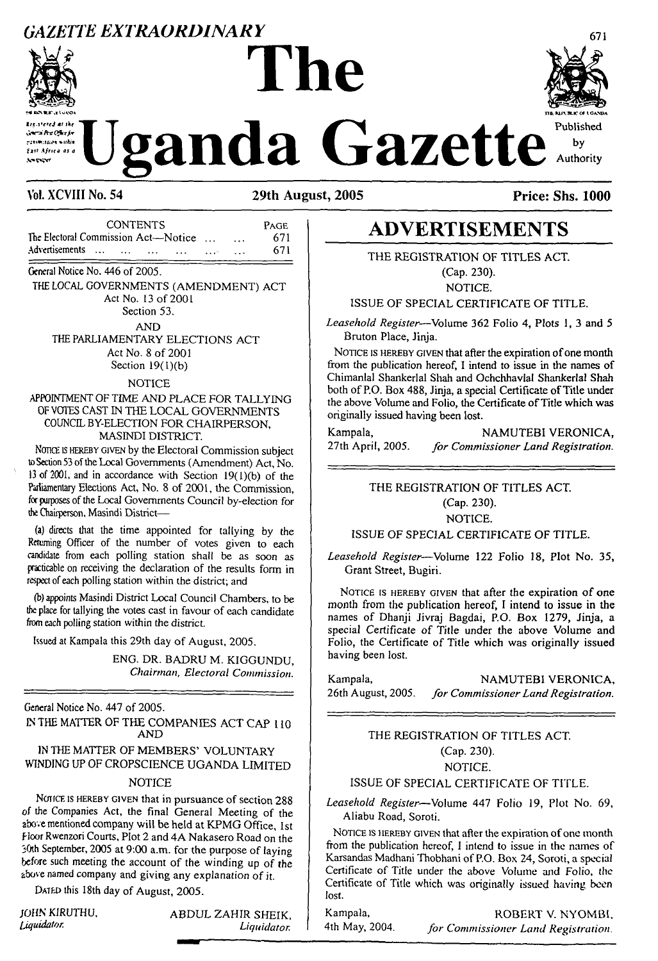# *GAZETTE EXTRAORDINARY* <sup>671</sup> **The**



منقدا وماهامة versi Arc Ofice for rennisser vadin .<br>Exil Africa as a

# $T_{\text{Vol. XCVIII No. 54}}$   $\text{U}\text{ganda}$   $\text{Gazette}$  by  $T_{\text{Vol. XCVIII No. 54}}$   $\text{Vol. XCVIII No. 54}$



**Vol. XCVIII No. 54 29th August, 2005 Price: Shs. 1000**

| <b>CONTENTS</b>                                                         |             |          | PAGE |
|-------------------------------------------------------------------------|-------------|----------|------|
| The Electoral Commission Act—Notice                                     |             | $\cdots$ | 671  |
| Advertisements<br>$\sim$ $\sim$<br>$\cdots$<br><b>Contract Contract</b> | <b>SALE</b> | $ -$     | 671  |

General Notice No. 446 of 2005.

THE LOCAL GOVERNMENTS (AMENDMENT) ACT Act No. 13 of 2001 Section 53.

AND

THE PARLIAMENTARY ELECTIONS ACT Act No. 8 of 2001 Section  $19(1)(b)$ 

NOTICE

## APPOINTMENT OF TIME AND PLACE FOR TALLYING OF VOTES CAST IN THE LOCAL GOVERNMENTS COUNCIL BY-ELECTION FOR CHAIRPERSON, MASINDI DISTRICT.

Nonce is HEREBY GIVEN by the Electoral Commission subject to Section 53 of the Local Governments (Amendment) Act, No. <sup>13</sup> of 2001, and in accordance with Section 19(l)(b) of the Parliamentary Elections Act, No. 8 of 2001, the Commission, for purposes of the Local Governments Council by-election for the Chairperson, Masindi District—

(a) directs that the time appointed for tallying by the Returning Officer of the number of votes given to each candidate from each polling station shall be as soon as practicable on receiving the declaration of the results form in respect of each polling station within the district; and

(b) appoints Masindi District Local Council Chambers, to be the place for tallying the votes cast in favour of each candidate from each polling station within the district.

Issued at Kampala this 29th day of August, 2005.

ENG. DR. BADRU M. KIGGUNDU, *Chairman, Electoral Commission.*

General Notice No. 447 of 2005. IN THE MATTER OF THE COMPANIES ACT CAP 110 AND

IN THE MATTER OF MEMBERS' VOLUNTARY WINDING UP OF CROPSCIENCE UGANDA LIMITED

### NOTICE

NOTICE IS HEREBY GIVEN that in pursuance of section 288 of the Companies Act, the final General Meeting of the above mentioned company will be held at KPMG Office, 1st Floor Rwenzori Courts, Plot 2 and 4A Nakasero Road on the 30th September, 2005 at 9:00 a.m. for the purpose of laying before such meeting the account of the winding up of the above named company and giving any explanation of it.

Dated this 18th day of August, 2005.

JOHN KIRUTHU, ABDUL ZAHIR SHEIK,<br>Liquidator. Liquidator *Liquidator.*

# **ADVERTISEMENTS**

THE REGISTRATION OF TITLES ACT. (Cap. 230).

NOTICE.

ISSUE OF SPECIAL CERTIFICATE OF TITLE.

*Leasehold Register*—Volume 362 Folio 4, Plots 1, 3 and 5 Bruton Place, Jinja.

NOTICE IS HEREBY GIVEN that after the expiration of one month from the publication hereof, I intend to issue in the names of Chimanlal Shankerlal Shah and Ochchhavlal Shankerlal Shah both of P.O. Box 488, Jinja, a special Certificate of Title under the above Volume and Folio, the Certificate of Title which was originally issued having been lost.

Kampala, NAMUTEBI VERONICA,<br>27th April, 2005. for Commissioner Land Registration. 27th April, 2005. *for Commissioner Land Registration.*

# THE REGISTRATION OF TITLES ACT. (Cap. 230). NOTICE.

# ISSUE OF SPECIAL CERTIFICATE OF TITLE.

*Leasehold Register—*Volume 122 Folio 18, Plot No. 35, Grant Street, Bugiri.

NOTICE IS HEREBY GIVEN that after the expiration of one month from the publication hereof, I intend to issue in the names of Dhanji Jivraj Bagdai, P.O. Box 1279, Jinja, a special Certificate of Title under the above Volume and Folio, the Certificate of Title which was originally issued having been lost.

Kampala, **NAMUTEBI VERONICA,**<br>26th August, 2005. *for Commissioner Land Registration*. 26th August, 2005. *for CommissionerLandRegistration.*

# THE REGISTRATION OF TITLES ACT. (Cap. 230). NOTICE.

# ISSUE OF SPECIAL CERTIFICATE OF TITLE.

*Leasehold Register*—Volume 447 Folio 19, Plot No. 69, Aliabu Road, Soroti.

NOTICE IS HEREBY GIVEN that after the expiration of one month from the publication hereof, <sup>I</sup> intend to issue in the names of Karsandas Madhani Thobhani of P.O. Box 24, Soroti, a special Certificate of Title under the above Volume and Folio, the Certificate of Title which was originally issued having been lost.

Kampala, ROBERT V. NYOMBI,<br>4th May, 2004. *for Commissioner Land Registration* 4th May, 2004. *for Commissioner Land Registration.*